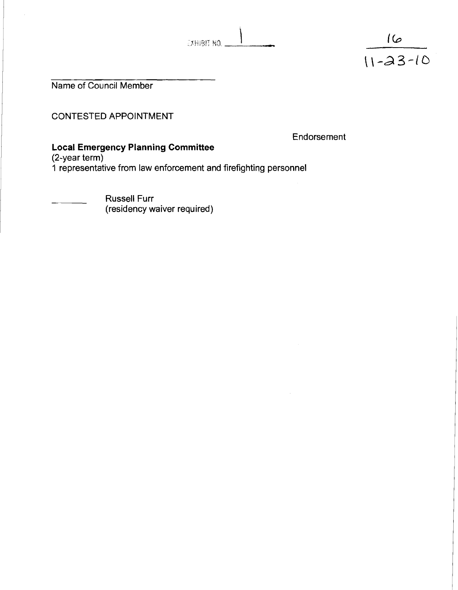| EXHIBIT NO |  |  |
|------------|--|--|

 $\frac{16}{11-23-10}$ 

Name of Council Member

CONTESTED APPOINTMENT

**Endorsement** 

## **Local Emergency Planning Committee**

(2-year term)

1 representative from law enforcement and firefighting personnel

Russell Furr (residency waiver required)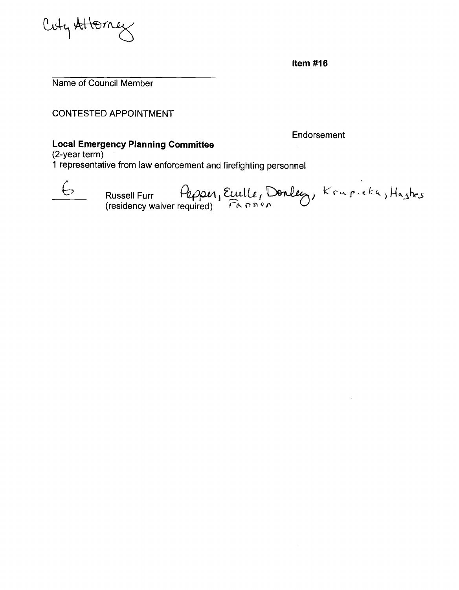

**Item #16** 

Name of Council Member

CONTESTED APPOINTMENT

Endorsement

## **Local Emergency Planning Committee**

(2-year term)

**1** representative from law enforcement and firefighting personnel



E Russell Furr Pepper, Ecuille, Donley, Krupicka, Hashes residency waiver required) <del>ที่ค</del>อด*จ*อ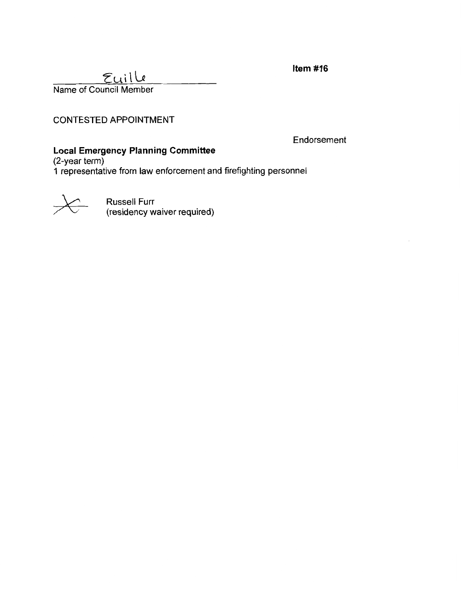Item  $#16$ 

# $E$ uille

Name of Council Member

#### CONTESTED APPOINTMENT

Endorsement

# **Local Emergency Planniqg Committee**

(2-year term) **1** representative from law enforcement and firefighting personnel



Russell Furr (residency waiver required)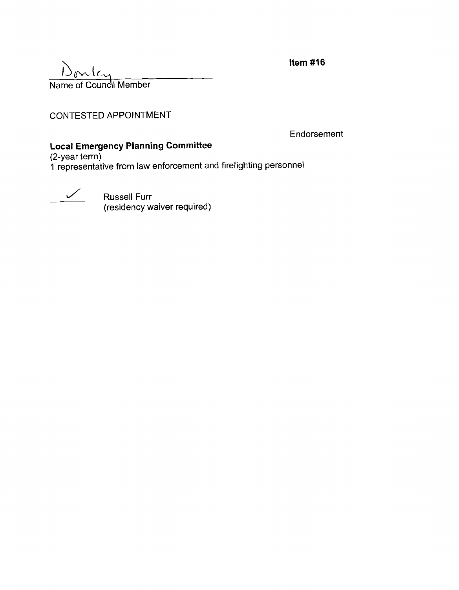$\frac{1}{N}$   $\frac{1}{N}$   $\frac{1}{N}$   $\frac{1}{N}$   $\frac{1}{N}$   $\frac{1}{N}$   $\frac{1}{N}$   $\frac{1}{N}$   $\frac{1}{N}$   $\frac{1}{N}$   $\frac{1}{N}$   $\frac{1}{N}$   $\frac{1}{N}$   $\frac{1}{N}$   $\frac{1}{N}$   $\frac{1}{N}$   $\frac{1}{N}$   $\frac{1}{N}$   $\frac{1}{N}$   $\frac{1}{N}$   $\frac{1}{N}$   $\frac{1}{N}$ 

CONTESTED APPOINTMENT

**Endorsement** 

#### **Local Emergency Planning Committee**

(2-year term) **1** representative from law enforcement and firefighting personnel

**July Russell Furr** (residency waiver required) Item #16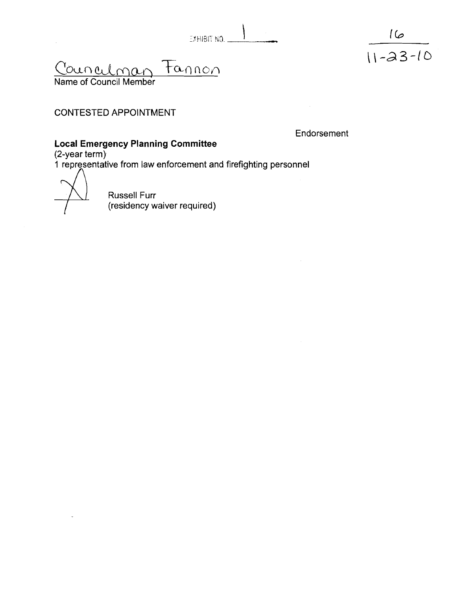| EXHIBIT NO. |  |  |  |
|-------------|--|--|--|

Jounculman tannon

Name of Council Member

## CONTESTED APPOINTMENT

Endorsement

#### **Local Emergency Planning Committee**

(2-year term)

i representative from law enforcement and firefighting personnel

Russell Furr (residency waiver required)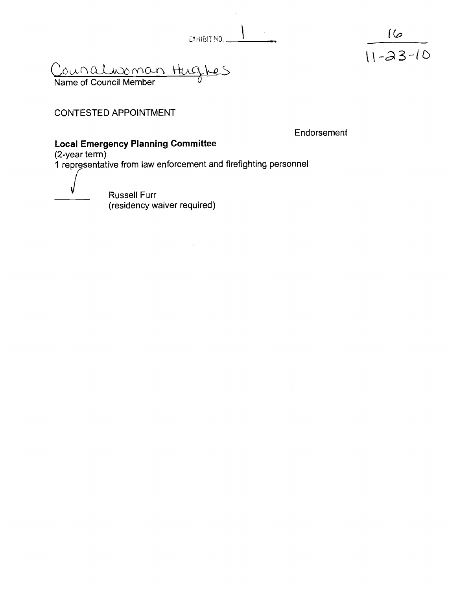EXHIBIT NO.

<u>Councilusoman Hughes</u>

Name of Council Member

# CONTESTED APPOINTMENT

Endorsement

 $\frac{16}{11-23-10}$ 

#### Local Emergency Planning Committee

(2-year term)

1 representative from law enforcement and firefighting personnel

 $\bar{L}$ 

**Russell Furr** (residency waiver required)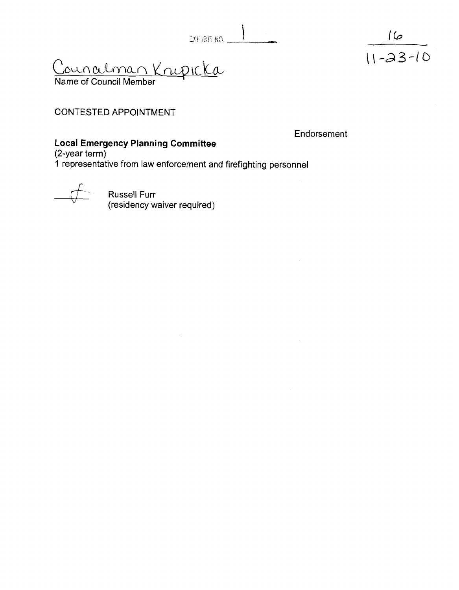$\mathbf{1}$ EXHIBIT NO.

<u>Counalman Kripicka</u>

Name of Council Member

# CONTESTED APPOINTMENT

Endorsement

# **Local Emergency Planning Committee**

(2-year term).

**1** representative from law enforcement and firefighting personnel



Russell Furr (residency waiver required)

 $\frac{16}{11-23-10}$